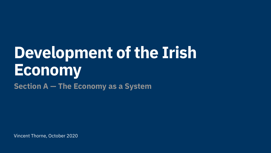Vincent Thorne, October 2020

# **Development of the Irish Economy Section A — The Economy as a System**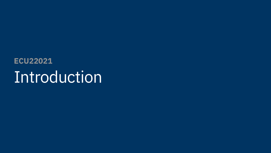## Introduction **ECU22021**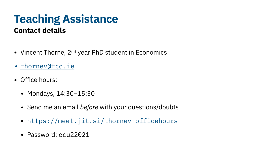- Vincent Thorne, 2<sup>nd</sup> year PhD student in Economics
- [thornev@tcd.ie](mailto:thornev@tcd.ie)
- Office hours:
	- Mondays, 14:30-15:30
	- Send me an email *before* with your questions/doubts
	- https://meet.jit.si/thornev officehours
	- Password: ecu22021

#### **Teaching Assistance Contact details**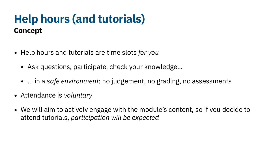### **Help hours (and tutorials) Concept**

- Help hours and tutorials are time slots *for you*
	- Ask questions, participate, check your knowledge...
	- … in a *safe environment*: no judgement, no grading, no assessments
- Attendance is *voluntary*
- We will aim to actively engage with the module's content, so if you decide to attend tutorials, *participation will be expected*

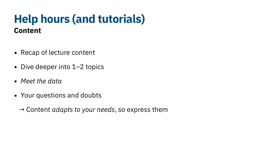### **Help hours (and tutorials) Content**

- Recap of lecture content
- Dive deeper into 1-2 topics
- *• Meet the data*
- Your questions and doubts

→ Content *adapts to your needs*, so express them

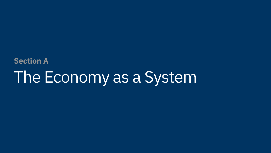# The Economy as a System **Section A**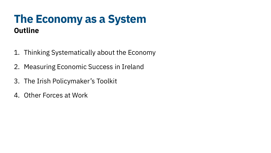#### **The Economy as a System Outline**

- 1. Thinking Systematically about the Economy
- 2. Measuring Economic Success in Ireland
- 3. The Irish Policymaker's Toolkit
- 4. Other Forces at Work

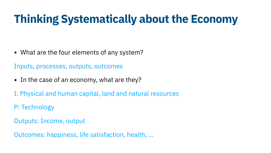## **Thinking Systematically about the Economy**

- What are the four elements of any system? Inputs, processes, outputs, outcomes
- In the case of an economy, what are they?
- I: Physical and human capital, land and natural resources
- P: Technology
- Outputs: Income, output
- Outcomes: happiness, life satisfaction, health, …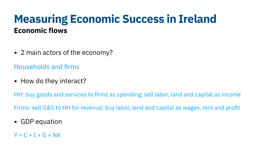- 2 main actors of the economy? Households and firms
- How do they interact?

HH: buy goods and services to firms as spending; sell labor, land and capital as income

#### **Measuring Economic Success in Ireland Economic flows**

Firms: sell G&S to HH for revenue; buy labor, land and capital as wages, rent and profit

• GDP equation

 $Y = C + I + G + NX$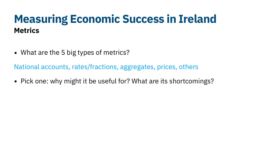### **Measuring Economic Success in Ireland Metrics**

- What are the 5 big types of metrics? National accounts, rates/fractions, aggregates, prices, others
- Pick one: why might it be useful for? What are its shortcomings?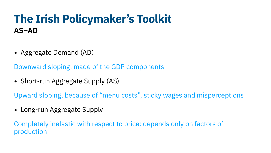• Aggregate Demand (AD) Downward sloping, made of the GDP components

• Short-run Aggregate Supply (AS)

### **The Irish Policymaker's Toolkit AS–AD**

Upward sloping, because of "menu costs", sticky wages and misperceptions

• Long-run Aggregate Supply

Completely inelastic with respect to price: depends only on factors of production

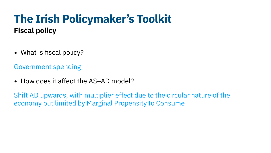Government spending

• How does it affect the AS–AD model?

### **The Irish Policymaker's Toolkit Fiscal policy**

• What is fiscal policy?

Shift AD upwards, with multiplier effect due to the circular nature of the economy but limited by Marginal Propensity to Consume

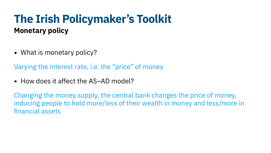Varying the interest rate, i.e. the "price" of money

• How does it affect the AS–AD model?

### **The Irish Policymaker's Toolkit Monetary policy**

• What is monetary policy?

Changing the money supply, the central bank changes the price of money, financial assets

inducing people to hold more/less of their wealth in money and less/more in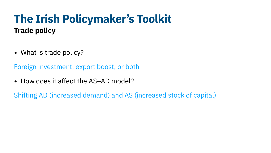- What is trade policy? Foreign investment, export boost, or both
- How does it affect the AS-AD model? Shifting AD (increased demand) and AS (increased stock of capital)

### **The Irish Policymaker's Toolkit Trade policy**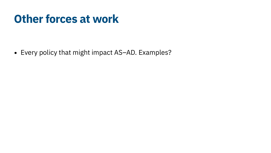## **Other forces at work**

• Every policy that might impact AS–AD. Examples?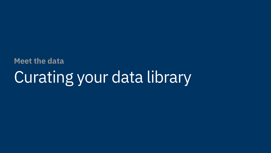# Curating your data library **Meet the data**